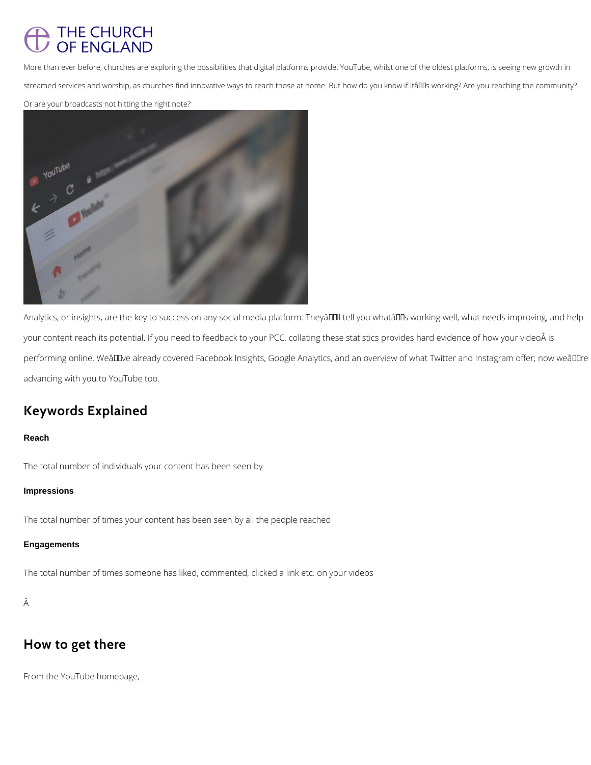# THE CHURCH<br>OF ENGLAND

More than ever before, churches are exploring the possibilities that digital platforms provide. YouTube, whilst one of the oldest platforms, is seeing new growth in streamed services and worship, as churches find innovative ways to reach those at home. But how do you know if itâll sworking? Are you reaching the community?

Or are your broadcasts not hitting the right note?



Analytics, or insights, are the key to success on any social media platform. Theyâllll tell you whatâlls working well, what needs improving, and help your content reach its potential. If you need to feedback to your PCC, collating these statistics provides hard evidence of how your video is performing online. WeâDDve already covered Facebook Insights, Google Analytics, and an overview of what Twitter and Instagram offer; now weâDDre advancing with you to YouTube too.

# **Keywords Explained**

#### **Reach**

The total number of individuals your content has been seen by

#### **Impressions**

The total number of times your content has been seen by all the people reached

### **Engagements**

The total number of times someone has liked, commented, clicked a link etc. on your videos

Â

## **How to get there**

From the YouTube homepage,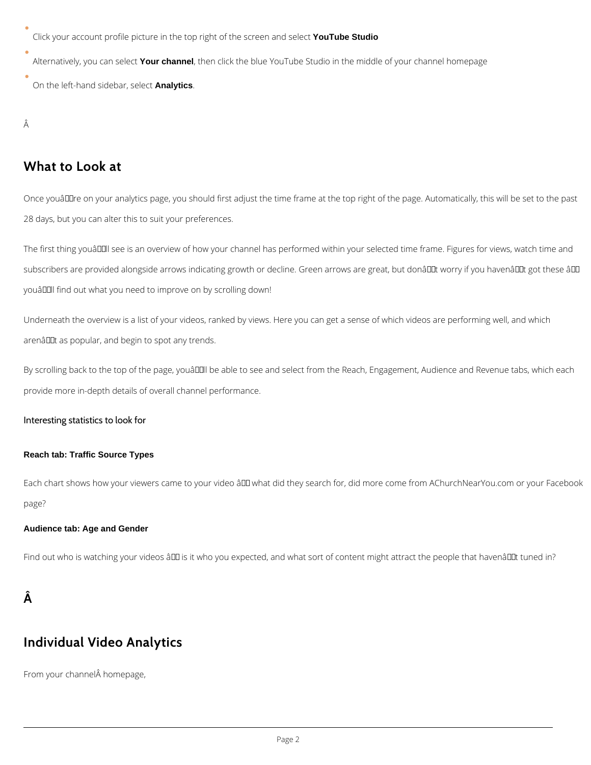Click your account profile picture in the top right of the screen and select **YouTube Studio**

Alternatively, you can select **Your channel**, then click the blue YouTube Studio in the middle of your channel homepage

On the left-hand sidebar, select **Analytics**.

Â

Once youâDDre on your analytics page, you should first adjust the time frame at the top right of the page. Automatically, this will be set to the past 28 days, but you can alter this to suit your preferences.

The first thing youâll see is an overview of how your channel has performed within your selected time frame. Figures for views, watch time and subscribers are provided alongside arrows indicating growth or decline. Green arrows are great, but donâl Dt worry if you havenâl Dt got these âl D youâll find out what you need to improve on by scrolling down!

## **What to Look at**

Underneath the overview is a list of your videos, ranked by views. Here you can get a sense of which videos are performing well, and which arenâllet as popular, and begin to spot any trends.

By scrolling back to the top of the page, youâll be able to see and select from the Reach, Engagement, Audience and Revenue tabs, which each provide more in-depth details of overall channel performance.

Each chart shows how your viewers came to your video â D what did they search for, did more come from AChurchNearYou.com or your Facebook page?

#### Interesting statistics to look for

#### **Reach tab: Traffic Source Types**

#### **Audience tab: Age and Gender**

Find out who is watching your videos â D is it who you expected, and what sort of content might attract the people that havenâ D It tuned in?

 $\hat{A}$ 

# **Individual Video Analytics**

From your channel homepage,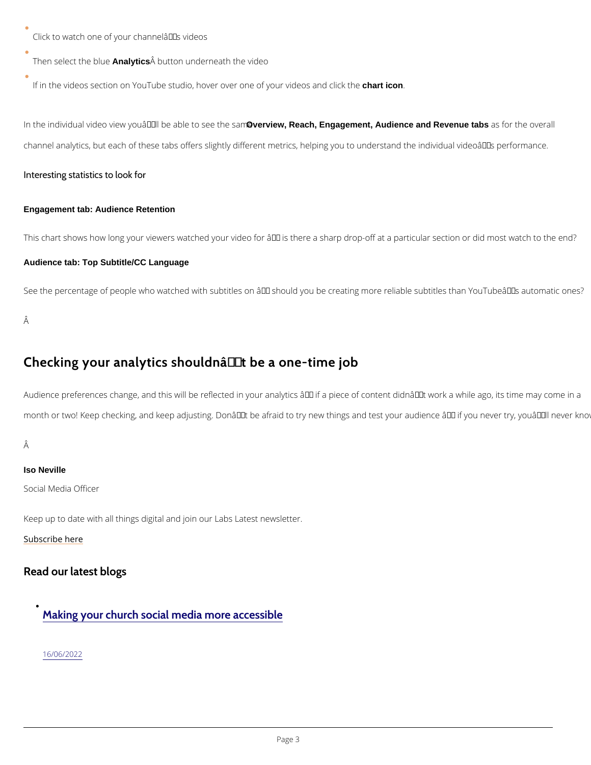Click to watch one of your channel $\hat{a} \in \text{TM}$ s videos

Then select tAmalytichs **A** button underneath the video

If in the videos section on YouTube studio, hover over chantie on f your videos and click the

In the individual video view you'NOvebreiewa, Reach,oEngageemtehne, Asualiennoee and Revenue tabs as for the overa channel analytics, but each of these tabs offers slightly different metrics, helping you to und

This chart shows how long your viewers watched your video for  $\hat{a} \in$  is there a sharp drop-off Audience tab: Top Subtitle/CC Language

See the percentage of people who watched with subtitles on  $\hat{a} \in "$  should you be creating more

Â

## Checking your analytics shouldnâ $\epsilon$ <sup>TM</sup>t be a one-time job

Audience preferences change, and this will be reflected in your analytics  $\hat{a} \in H$  if a piece of co month or two! Keep checking, and keep adjusting. Don't be afraid to try new things and te

#### Â

Interesting statistics to look for

Engagement tab: Audience Retention

Iso Neville

Social Media Officer

Keep up to date with all things digital and join our Labs Latest newsletter.

[Subscribe](https://www.churchofengland.org/labs-latest) here

## Read our latest blogs

## [Making your church social media more accessible](/resources/digital-labs/blogs/making-your-church-social-media-more-accessible)

[16/06/2](/resources/digital-labs/blogs/making-your-church-social-media-more-accessible)022